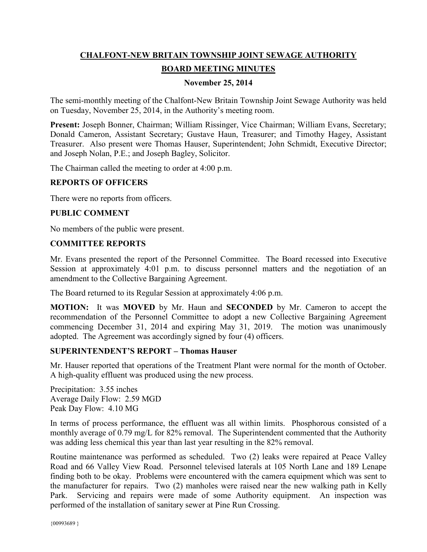# **CHALFONT-NEW BRITAIN TOWNSHIP JOINT SEWAGE AUTHORITY BOARD MEETING MINUTES**

# **November 25, 2014**

The semi-monthly meeting of the Chalfont-New Britain Township Joint Sewage Authority was held on Tuesday, November 25, 2014, in the Authority's meeting room.

**Present:** Joseph Bonner, Chairman; William Rissinger, Vice Chairman; William Evans, Secretary; Donald Cameron, Assistant Secretary; Gustave Haun, Treasurer; and Timothy Hagey, Assistant Treasurer. Also present were Thomas Hauser, Superintendent; John Schmidt, Executive Director; and Joseph Nolan, P.E.; and Joseph Bagley, Solicitor.

The Chairman called the meeting to order at 4:00 p.m.

#### **REPORTS OF OFFICERS**

There were no reports from officers.

## **PUBLIC COMMENT**

No members of the public were present.

## **COMMITTEE REPORTS**

Mr. Evans presented the report of the Personnel Committee. The Board recessed into Executive Session at approximately 4:01 p.m. to discuss personnel matters and the negotiation of an amendment to the Collective Bargaining Agreement.

The Board returned to its Regular Session at approximately 4:06 p.m.

**MOTION:** It was **MOVED** by Mr. Haun and **SECONDED** by Mr. Cameron to accept the recommendation of the Personnel Committee to adopt a new Collective Bargaining Agreement commencing December 31, 2014 and expiring May 31, 2019. The motion was unanimously adopted. The Agreement was accordingly signed by four (4) officers.

#### **SUPERINTENDENT'S REPORT – Thomas Hauser**

Mr. Hauser reported that operations of the Treatment Plant were normal for the month of October. A high-quality effluent was produced using the new process.

Precipitation: 3.55 inches Average Daily Flow: 2.59 MGD Peak Day Flow: 4.10 MG

In terms of process performance, the effluent was all within limits. Phosphorous consisted of a monthly average of 0.79 mg/L for 82% removal. The Superintendent commented that the Authority was adding less chemical this year than last year resulting in the 82% removal.

Routine maintenance was performed as scheduled. Two (2) leaks were repaired at Peace Valley Road and 66 Valley View Road. Personnel televised laterals at 105 North Lane and 189 Lenape finding both to be okay. Problems were encountered with the camera equipment which was sent to the manufacturer for repairs. Two (2) manholes were raised near the new walking path in Kelly Park. Servicing and repairs were made of some Authority equipment. An inspection was performed of the installation of sanitary sewer at Pine Run Crossing.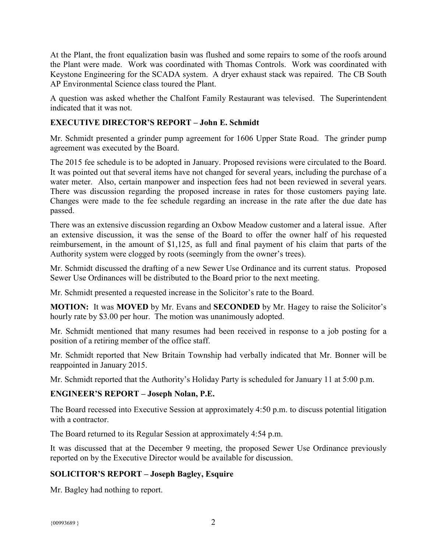At the Plant, the front equalization basin was flushed and some repairs to some of the roofs around the Plant were made. Work was coordinated with Thomas Controls. Work was coordinated with Keystone Engineering for the SCADA system. A dryer exhaust stack was repaired. The CB South AP Environmental Science class toured the Plant.

A question was asked whether the Chalfont Family Restaurant was televised. The Superintendent indicated that it was not.

# **EXECUTIVE DIRECTOR'S REPORT – John E. Schmidt**

Mr. Schmidt presented a grinder pump agreement for 1606 Upper State Road. The grinder pump agreement was executed by the Board.

The 2015 fee schedule is to be adopted in January. Proposed revisions were circulated to the Board. It was pointed out that several items have not changed for several years, including the purchase of a water meter. Also, certain manpower and inspection fees had not been reviewed in several years. There was discussion regarding the proposed increase in rates for those customers paying late. Changes were made to the fee schedule regarding an increase in the rate after the due date has passed.

There was an extensive discussion regarding an Oxbow Meadow customer and a lateral issue. After an extensive discussion, it was the sense of the Board to offer the owner half of his requested reimbursement, in the amount of \$1,125, as full and final payment of his claim that parts of the Authority system were clogged by roots (seemingly from the owner's trees).

Mr. Schmidt discussed the drafting of a new Sewer Use Ordinance and its current status. Proposed Sewer Use Ordinances will be distributed to the Board prior to the next meeting.

Mr. Schmidt presented a requested increase in the Solicitor's rate to the Board.

**MOTION:** It was **MOVED** by Mr. Evans and **SECONDED** by Mr. Hagey to raise the Solicitor's hourly rate by \$3.00 per hour. The motion was unanimously adopted.

Mr. Schmidt mentioned that many resumes had been received in response to a job posting for a position of a retiring member of the office staff.

Mr. Schmidt reported that New Britain Township had verbally indicated that Mr. Bonner will be reappointed in January 2015.

Mr. Schmidt reported that the Authority's Holiday Party is scheduled for January 11 at 5:00 p.m.

# **ENGINEER'S REPORT – Joseph Nolan, P.E.**

The Board recessed into Executive Session at approximately 4:50 p.m. to discuss potential litigation with a contractor.

The Board returned to its Regular Session at approximately 4:54 p.m.

It was discussed that at the December 9 meeting, the proposed Sewer Use Ordinance previously reported on by the Executive Director would be available for discussion.

# **SOLICITOR'S REPORT – Joseph Bagley, Esquire**

Mr. Bagley had nothing to report.